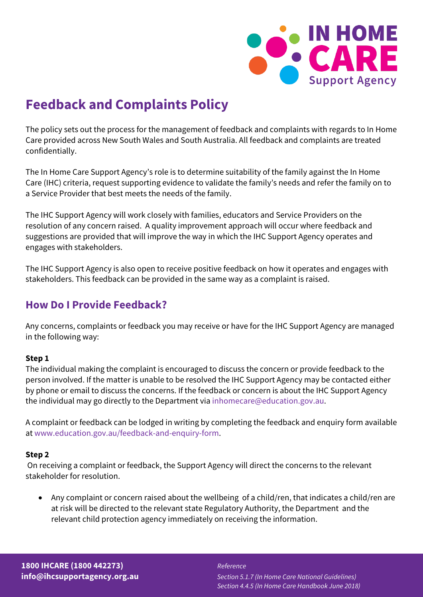

# **Feedback and Complaints Policy**

The policy sets out the process for the management of feedback and complaints with regards to In Home Care provided across New South Wales and South Australia. All feedback and complaints are treated confidentially.

The In Home Care Support Agency's role is to determine suitability of the family against the In Home Care (IHC) criteria, request supporting evidence to validate the family's needs and refer the family on to a Service Provider that best meets the needs of the family.

The IHC Support Agency will work closely with families, educators and Service Providers on the resolution of any concern raised. A quality improvement approach will occur where feedback and suggestions are provided that will improve the way in which the IHC Support Agency operates and engages with stakeholders.

The IHC Support Agency is also open to receive positive feedback on how it operates and engages with stakeholders. This feedback can be provided in the same way as a complaint is raised.

# **How Do I Provide Feedback?**

Any concerns, complaints or feedback you may receive or have for the IHC Support Agency are managed in the following way:

### **Step 1**

The individual making the complaint is encouraged to discuss the concern or provide feedback to the person involved. If the matter is unable to be resolved the IHC Support Agency may be contacted either by phone or email to discuss the concerns. If the feedback or concern is about the IHC Support Agency the individual may go directly to the Department via [inhomecare@education.gov.au.](mailto:inhomecare@education.gov.au)

A complaint or feedback can be lodged in writing by completing the feedback and enquiry form available a[t www.education.gov.au/feedback-and-enquiry-form.](http://www.education.gov.au/feedback-and-enquiry-form)

### **Step 2**

On receiving a complaint or feedback, the Support Agency will direct the concerns to the relevant stakeholder for resolution.

• Any complaint or concern raised about the wellbeing of a child/ren, that indicates a child/ren are at risk will be directed to the relevant state Regulatory Authority, the Department and the relevant child protection agency immediately on receiving the information.

**[info@ihcsupportagency.org.au](mailto:info@ihcsupportagency.org.au)** *Section 5.1.7 (In Home Care National Guidelines) Section 4.4.5 (In Home Care Handbook June 2018)*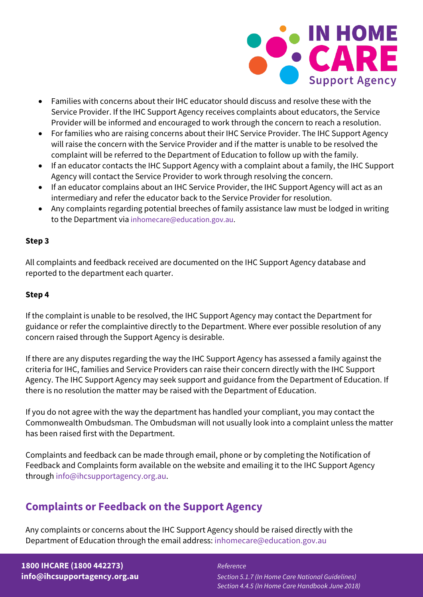

- Families with concerns about their IHC educator should discuss and resolve these with the Service Provider. If the IHC Support Agency receives complaints about educators, the Service Provider will be informed and encouraged to work through the concern to reach a resolution.
- For families who are raising concerns about their IHC Service Provider. The IHC Support Agency will raise the concern with the Service Provider and if the matter is unable to be resolved the complaint will be referred to the Department of Education to follow up with the family.
- If an educator contacts the IHC Support Agency with a complaint about a family, the IHC Support Agency will contact the Service Provider to work through resolving the concern.
- If an educator complains about an IHC Service Provider, the IHC Support Agency will act as an intermediary and refer the educator back to the Service Provider for resolution.
- Any complaints regarding potential breeches of family assistance law must be lodged in writing to the Department via [inhomecare@education.gov.au.](mailto:inhomecare@education.gov.au)

### **Step 3**

All complaints and feedback received are documented on the IHC Support Agency database and reported to the department each quarter.

### **Step 4**

If the complaint is unable to be resolved, the IHC Support Agency may contact the Department for guidance or refer the complaintive directly to the Department. Where ever possible resolution of any concern raised through the Support Agency is desirable.

If there are any disputes regarding the way the IHC Support Agency has assessed a family against the criteria for IHC, families and Service Providers can raise their concern directly with the IHC Support Agency. The IHC Support Agency may seek support and guidance from the Department of Education. If there is no resolution the matter may be raised with the Department of Education.

If you do not agree with the way the department has handled your compliant, you may contact the Commonwealth Ombudsman. The Ombudsman will not usually look into a complaint unless the matter has been raised first with the Department.

Complaints and feedback can be made through email, phone or by completing the Notification of Feedback and Complaints form available on the website and emailing it to the IHC Support Agency through [info@ihcsupportagency.org.au.](mailto:info@ihcsupportagency.org.au)

# **Complaints or Feedback on the Support Agency**

Any complaints or concerns about the IHC Support Agency should be raised directly with the Department of Education through the email address: [inhomecare@education.gov.au](mailto:inhomecare@education.gov.au)

# **1800 IHCARE (1800 442273)** *Reference*

**[info@ihcsupportagency.org.au](mailto:info@ihcsupportagency.org.au)** *Section 5.1.7 (In Home Care National Guidelines) Section 4.4.5 (In Home Care Handbook June 2018)*